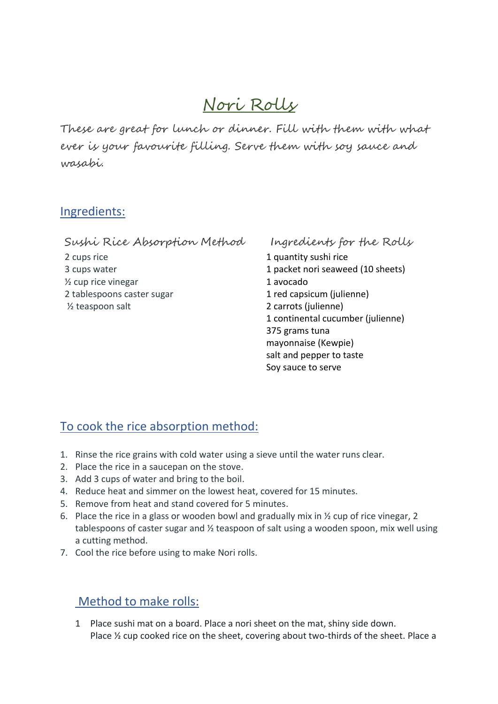## Nori Rolls

These are great for lunch or dinner. Fill with them with what ever is your favourite filling. Serve them with soy sauce and wasabi.

## Ingredients:

Sushi Rice Absorption Method 2 cups rice 3 cups water  $\frac{1}{2}$  cup rice vinegar 2 tablespoons caster sugar ½ teaspoon salt

Ingredients for the Rolls

1 quantity sushi rice 1 packet nori seaweed (10 sheets) 1 avocado 1 red capsicum (julienne) 2 carrots (julienne) 1 continental cucumber (julienne) 375 grams tuna mayonnaise (Kewpie) salt and pepper to taste Soy sauce to serve

## To cook the rice absorption method:

- 1. Rinse the rice grains with cold water using a sieve until the water runs clear.
- 2. Place the rice in a saucepan on the stove.
- 3. Add 3 cups of water and bring to the boil.
- 4. Reduce heat and simmer on the lowest heat, covered for 15 minutes.
- 5. Remove from heat and stand covered for 5 minutes.
- 6. Place the rice in a glass or wooden bowl and gradually mix in ½ cup of rice vinegar, 2 tablespoons of caster sugar and ½ teaspoon of salt using a wooden spoon, mix well using a cutting method.
- 7. Cool the rice before using to make Nori rolls.

## Method to make rolls:

1 Place sushi mat on a board. Place a nori sheet on the mat, shiny side down. Place ½ cup cooked rice on the sheet, covering about two-thirds of the sheet. Place a